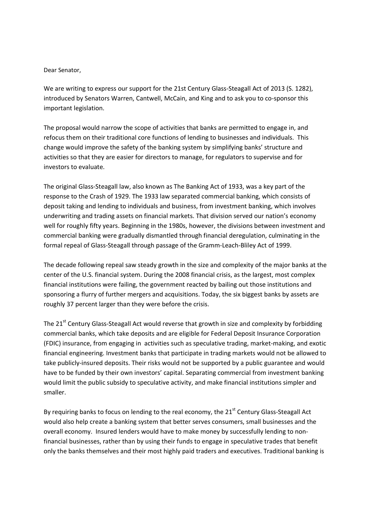# Dear Senator,

We are writing to express our support for the 21st Century Glass-Steagall Act of 2013 (S. 1282), introduced by Senators Warren, Cantwell, McCain, and King and to ask you to co-sponsor this important legislation.

The proposal would narrow the scope of activities that banks are permitted to engage in, and refocus them on their traditional core functions of lending to businesses and individuals. This change would improve the safety of the banking system by simplifying banks' structure and activities so that they are easier for directors to manage, for regulators to supervise and for investors to evaluate.

The original Glass-Steagall law, also known as The Banking Act of 1933, was a key part of the response to the Crash of 1929. The 1933 law separated commercial banking, which consists of deposit taking and lending to individuals and business, from investment banking, which involves underwriting and trading assets on financial markets. That division served our nation's economy well for roughly fifty years. Beginning in the 1980s, however, the divisions between investment and commercial banking were gradually dismantled through financial deregulation, culminating in the formal repeal of Glass-Steagall through passage of the Gramm-Leach-Bliley Act of 1999.

The decade following repeal saw steady growth in the size and complexity of the major banks at the center of the U.S. financial system. During the 2008 financial crisis, as the largest, most complex financial institutions were failing, the government reacted by bailing out those institutions and sponsoring a flurry of further mergers and acquisitions. Today, the six biggest banks by assets are roughly 37 percent larger than they were before the crisis.

The 21<sup>st</sup> Century Glass-Steagall Act would reverse that growth in size and complexity by forbidding commercial banks, which take deposits and are eligible for Federal Deposit Insurance Corporation (FDIC) insurance, from engaging in activities such as speculative trading, market-making, and exotic financial engineering. Investment banks that participate in trading markets would not be allowed to take publicly-insured deposits. Their risks would not be supported by a public guarantee and would have to be funded by their own investors' capital. Separating commercial from investment banking would limit the public subsidy to speculative activity, and make financial institutions simpler and smaller.

By requiring banks to focus on lending to the real economy, the  $21<sup>st</sup>$  Century Glass-Steagall Act would also help create a banking system that better serves consumers, small businesses and the overall economy. Insured lenders would have to make money by successfully lending to nonfinancial businesses, rather than by using their funds to engage in speculative trades that benefit only the banks themselves and their most highly paid traders and executives. Traditional banking is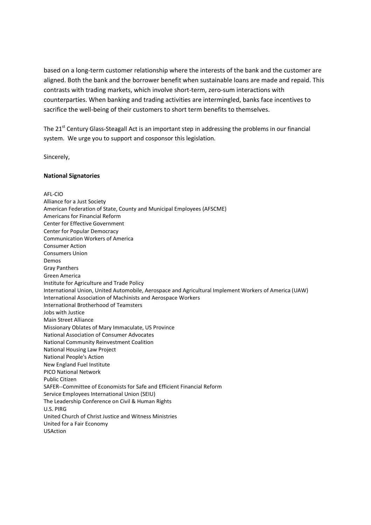based on a long-term customer relationship where the interests of the bank and the customer are aligned. Both the bank and the borrower benefit when sustainable loans are made and repaid. This contrasts with trading markets, which involve short-term, zero-sum interactions with counterparties. When banking and trading activities are intermingled, banks face incentives to sacrifice the well-being of their customers to short term benefits to themselves.

The 21<sup>st</sup> Century Glass-Steagall Act is an important step in addressing the problems in our financial system. We urge you to support and cosponsor this legislation.

Sincerely,

### **National Signatories**

### AFL-CIO

Alliance for a Just Society American Federation of State, County and Municipal Employees (AFSCME) Americans for Financial Reform Center for Effective Government Center for Popular Democracy Communication Workers of America Consumer Action Consumers Union Demos Gray Panthers Green America Institute for Agriculture and Trade Policy International Union, United Automobile, Aerospace and Agricultural Implement Workers of America (UAW) International Association of Machinists and Aerospace Workers International Brotherhood of Teamsters Jobs with Justice Main Street Alliance Missionary Oblates of Mary Immaculate, US Province National Association of Consumer Advocates National Community Reinvestment Coalition National Housing Law Project National People's Action New England Fuel Institute PICO National Network Public Citizen SAFER--Committee of Economists for Safe and Efficient Financial Reform Service Employees International Union (SEIU) The Leadership Conference on Civil & Human Rights U.S. PIRG United Church of Christ Justice and Witness Ministries United for a Fair Economy USAction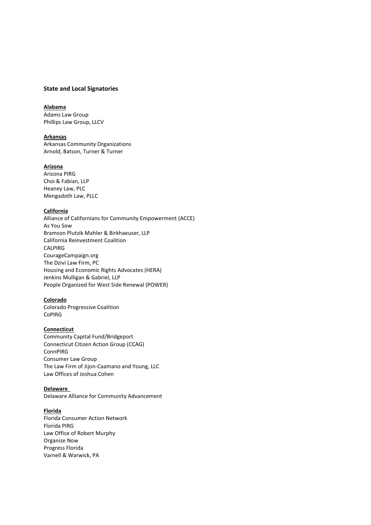## **State and Local Signatories**

# **Alabama**

Adams Law Group Phillips Law Group, LLCV

# **Arkansas**

Arkansas Community Organizations Arnold, Batson, Turner & Turner

### **Arizona**

Arizona PIRG Choi & Fabian, LLP Heaney Law, PLC Mengadoth Law, PLLC

### **California**

Alliance of Californians for Community Empowerment (ACCE) As You Sow Bramson Plutzik Mahler & Birkhaeuser, LLP California Reinvestment Coalition CALPIRG CourageCampaign.org The Dzivi Law Firm, PC Housing and Economic Rights Advocates (HERA) Jenkins Mulligan & Gabriel, LLP People Organized for West Side Renewal (POWER)

## **Colorado**

Colorado Progressive Coalition CoPIRG

# **Connecticut**

Community Capital Fund/Bridgeport Connecticut Citizen Action Group (CCAG) ConnPIRG Consumer Law Group The Law Firm of Jijon-Caamano and Young, LLC Law Offices of Joshua Cohen

### **Delaware**

Delaware Alliance for Community Advancement

#### **Florida**

Florida Consumer Action Network Florida PIRG Law Office of Robert Murphy Organize Now Progress Florida Varnell & Warwick, PA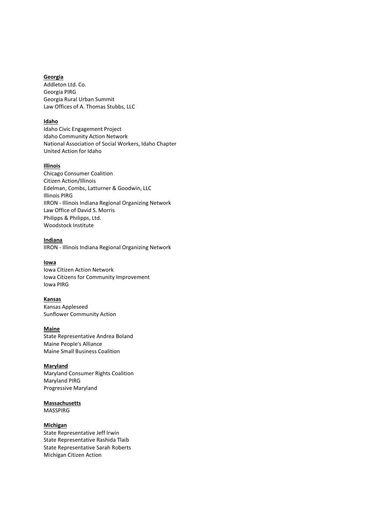# **Georgia**

Addleton Ltd. Co. Georgia PIRG Georgia Rural Urban Summit Law Offices of A. Thomas Stubbs, LLC

### **Idaho**

Idaho Civic Engagement Project Idaho Community Action Network National Association of Social Workers, Idaho Chapter United Action for Idaho

#### **Illinois**

Chicago Consumer Coalition Citizen Action/Illinois Edelman, Combs, Latturner & Goodwin, LLC Illinois PIRG IIRON - Illinois Indiana Regional Organizing Network Law Office of David S. Morris Philipps & Philipps, Ltd. Woodstock Institute

#### **Indiana**

IIRON - Illinois Indiana Regional Organizing Network

## **Iowa**

Iowa Citizen Action Network Iowa Citizens for Community Improvement Iowa PIRG

#### **Kansas**

Kansas Appleseed Sunflower Community Action

#### **Maine**

State Representative Andrea Boland Maine People's Alliance Maine Small Business Coalition

### **Maryland**

Maryland Consumer Rights Coalition Maryland PIRG Progressive Maryland

# **Massachusetts**

MASSPIRG

# **Michigan**

State Representative Jeff Irwin State Representative Rashida Tlaib State Representative Sarah Roberts Michigan Citizen Action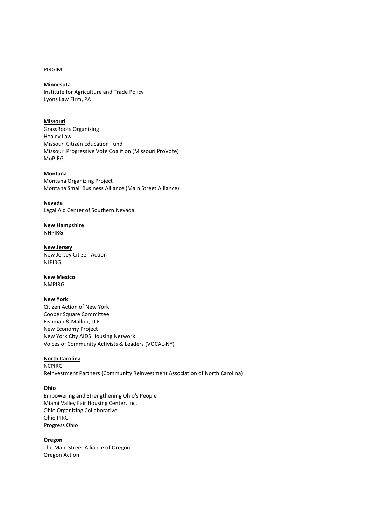PIRGIM

# **Minnesota**

Institute for Agriculture and Trade Policy Lyons Law Firm, PA

# **Missouri**

GrassRoots Organizing Healey Law Missouri Citizen Education Fund Missouri Progressive Vote Coalition (Missouri ProVote) MoPIRG

# **Montana**

Montana Organizing Project Montana Small Business Alliance (Main Street Alliance)

**Nevada**  Legal Aid Center of Southern Nevada

**New Hampshire** NHPIRG

**New Jersey**  New Jersey Citizen Action NJPIRG

### **New Mexico**

NMPIRG

## **New York**

Citizen Action of New York Cooper Square Committee Fishman & Mallon, LLP New Economy Project New York City AIDS Housing Network Voices of Community Activists & Leaders (VOCAL-NY)

#### **North Carolina**

**NCPIRG** Reinvestment Partners (Community Reinvestment Association of North Carolina)

### **Ohio**

Empowering and Strengthening Ohio's People Miami Valley Fair Housing Center, Inc. Ohio Organizing Collaborative Ohio PIRG Progress Ohio

### **Oregon**

The Main Street Alliance of Oregon Oregon Action